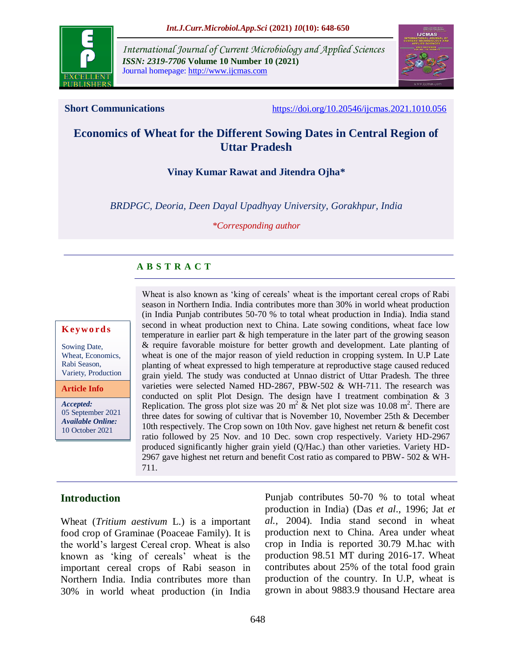

*International Journal of Current Microbiology and Applied Sciences ISSN: 2319-7706* **Volume 10 Number 10 (2021)**  Journal homepage: http://www.ijcmas.com



**Short Communications** <https://doi.org/10.20546/ijcmas.2021.1010.056>

# **Economics of Wheat for the Different Sowing Dates in Central Region of Uttar Pradesh**

#### **Vinay Kumar Rawat and Jitendra Ojha\***

*BRDPGC, Deoria, Deen Dayal Upadhyay University, Gorakhpur, India*

*\*Corresponding author*

## **A B S T R A C T**

#### **K ey w o rd s**

Sowing Date, Wheat, Economics, Rabi Season, Variety, Production

**Article Info**

*Accepted:*  05 September 2021 *Available Online:* 10 October 2021

Wheat is also known as 'king of cereals' wheat is the important cereal crops of Rabi season in Northern India. India contributes more than 30% in world wheat production (in India Punjab contributes 50-70 % to total wheat production in India). India stand second in wheat production next to China. Late sowing conditions, wheat face low temperature in earlier part & high temperature in the later part of the growing season & require favorable moisture for better growth and development. Late planting of wheat is one of the major reason of yield reduction in cropping system. In U.P Late planting of wheat expressed to high temperature at reproductive stage caused reduced grain yield. The study was conducted at Unnao district of Uttar Pradesh. The three varieties were selected Named HD-2867, PBW-502 & WH-711. The research was conducted on split Plot Design. The design have I treatment combination & 3 Replication. The gross plot size was 20 m<sup>2</sup>  $\&$  Net plot size was 10.08 m<sup>2</sup>. There are three dates for sowing of cultivar that is November 10, November 25th & December 10th respectively. The Crop sown on 10th Nov. gave highest net return & benefit cost ratio followed by 25 Nov. and 10 Dec. sown crop respectively. Variety HD-2967 produced significantly higher grain yield (Q/Hac.) than other varieties. Variety HD-2967 gave highest net return and benefit Cost ratio as compared to PBW- 502 & WH-711.

## **Introduction**

Wheat (*Tritium aestivum* L.) is a important food crop of Graminae (Poaceae Family). It is the world's largest Cereal crop. Wheat is also known as 'king of cereals' wheat is the important cereal crops of Rabi season in Northern India. India contributes more than 30% in world wheat production (in India

Punjab contributes 50-70 % to total wheat production in India) (Das *et al*., 1996; Jat *et al.,* 2004). India stand second in wheat production next to China. Area under wheat crop in India is reported 30.79 M.hac with production 98.51 MT during 2016-17. Wheat contributes about 25% of the total food grain production of the country. In U.P, wheat is grown in about 9883.9 thousand Hectare area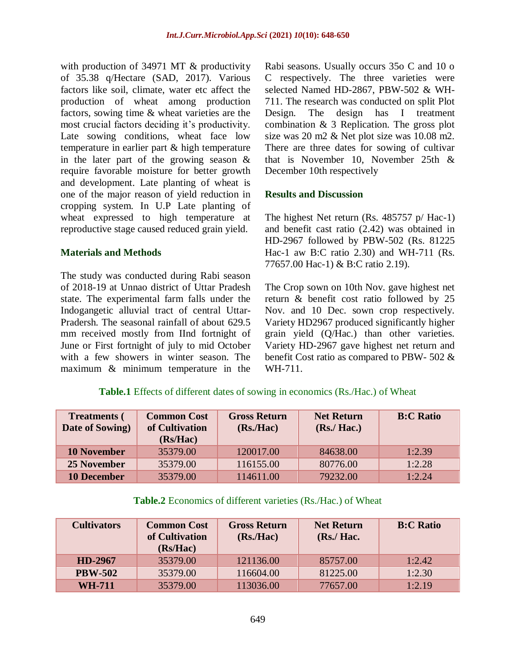with production of 34971 MT & productivity of 35.38 q/Hectare (SAD, 2017). Various factors like soil, climate, water etc affect the production of wheat among production factors, sowing time & wheat varieties are the most crucial factors deciding it's productivity. Late sowing conditions, wheat face low temperature in earlier part & high temperature in the later part of the growing season & require favorable moisture for better growth and development. Late planting of wheat is one of the major reason of yield reduction in cropping system. In U.P Late planting of wheat expressed to high temperature at reproductive stage caused reduced grain yield.

#### **Materials and Methods**

The study was conducted during Rabi season of 2018-19 at Unnao district of Uttar Pradesh state. The experimental farm falls under the Indogangetic alluvial tract of central Uttar-Pradersh. The seasonal rainfall of about 629.5 mm received mostly from IInd fortnight of June or First fortnight of july to mid October with a few showers in winter season. The maximum & minimum temperature in the Rabi seasons. Usually occurs 35o C and 10 o C respectively. The three varieties were selected Named HD-2867, PBW-502 & WH-711. The research was conducted on split Plot Design. The design has I treatment combination & 3 Replication. The gross plot size was 20 m2 & Net plot size was 10.08 m2. There are three dates for sowing of cultivar that is November 10, November 25th & December 10th respectively

#### **Results and Discussion**

The highest Net return (Rs. 485757 p/ Hac-1) and benefit cast ratio (2.42) was obtained in HD-2967 followed by PBW-502 (Rs. 81225 Hac-1 aw B:C ratio 2.30) and WH-711 (Rs. 77657.00 Hac-1) & B:C ratio 2.19).

The Crop sown on 10th Nov. gave highest net return & benefit cost ratio followed by 25 Nov. and 10 Dec. sown crop respectively. Variety HD2967 produced significantly higher grain yield (Q/Hac.) than other varieties. Variety HD-2967 gave highest net return and benefit Cost ratio as compared to PBW- 502 & WH-711.

## **Table.1** Effects of different dates of sowing in economics (Rs./Hac.) of Wheat

| <b>Treatments (</b><br>Date of Sowing) | <b>Common Cost</b><br>of Cultivation<br>(Rs/Hac) | <b>Gross Return</b><br>(Rs <sub>1</sub> Hac) | <b>Net Return</b><br>$(Rs$ ./ Hac.) | <b>B:C Ratio</b> |
|----------------------------------------|--------------------------------------------------|----------------------------------------------|-------------------------------------|------------------|
| <b>10 November</b>                     | 35379.00                                         | 120017.00                                    | 84638.00                            | 1:2.39           |
| 25 November                            | 35379.00                                         | 116155.00                                    | 80776.00                            | 1:2.28           |
| <b>10 December</b>                     | 35379.00                                         | 114611.00                                    | 79232.00                            | 1:2.24           |

#### **Table.2** Economics of different varieties (Rs./Hac.) of Wheat

| <b>Cultivators</b> | <b>Common Cost</b><br>of Cultivation<br>(Rs/Hac) | <b>Gross Return</b><br>(Rs <sub>1</sub> Ha <sub>c</sub> ) | <b>Net Return</b><br>$(Rs$ ./ Hac. | <b>B:C Ratio</b> |
|--------------------|--------------------------------------------------|-----------------------------------------------------------|------------------------------------|------------------|
| HD-2967            | 35379.00                                         | 121136.00                                                 | 85757.00                           | 1:2.42           |
| <b>PBW-502</b>     | 35379.00                                         | 116604.00                                                 | 81225.00                           | 1:2.30           |
| <b>WH-711</b>      | 35379.00                                         | 113036.00                                                 | 77657.00                           | 1:2.19           |